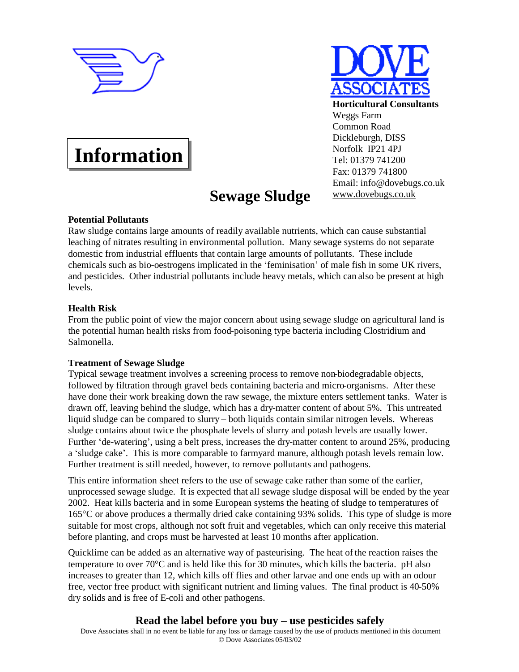



#### **Horticultural Consultants** Weggs Farm Common Road Dickleburgh, DISS Norfolk IP21 4PJ Tel: 01379 741200 Fax: 01379 741800 Email: [info@dovebugs.co.uk](mailto:info@dovebugs.co.uk) [www.dovebugs.co.uk](http://www.dovebugs.co.uk)

# **Information**

# **Sewage Sludge**

## **Potential Pollutants**

Raw sludge contains large amounts of readily available nutrients, which can cause substantial leaching of nitrates resulting in environmental pollution. Many sewage systems do not separate domestic from industrial effluents that contain large amounts of pollutants. These include chemicals such as bio-oestrogens implicated in the 'feminisation' of male fish in some UK rivers, and pesticides. Other industrial pollutants include heavy metals, which can also be present at high levels.

# **Health Risk**

From the public point of view the major concern about using sewage sludge on agricultural land is the potential human health risks from food-poisoning type bacteria including Clostridium and Salmonella.

## **Treatment of Sewage Sludge**

Typical sewage treatment involves a screening process to remove non-biodegradable objects, followed by filtration through gravel beds containing bacteria and micro-organisms. After these have done their work breaking down the raw sewage, the mixture enters settlement tanks. Water is drawn off, leaving behind the sludge, which has a dry-matter content of about 5%. This untreated liquid sludge can be compared to slurry – both liquids contain similar nitrogen levels. Whereas sludge contains about twice the phosphate levels of slurry and potash levels are usually lower. Further 'de-watering', using a belt press, increases the dry-matter content to around 25%, producing a 'sludge cake'. This is more comparable to farmyard manure, although potash levels remain low. Further treatment is still needed, however, to remove pollutants and pathogens.

This entire information sheet refers to the use of sewage cake rather than some of the earlier, unprocessed sewage sludge. It is expected that all sewage sludge disposal will be ended by the year 2002. Heat kills bacteria and in some European systems the heating of sludge to temperatures of 165°C or above produces a thermally dried cake containing 93% solids. This type of sludge is more suitable for most crops, although not soft fruit and vegetables, which can only receive this material before planting, and crops must be harvested at least 10 months after application.

Quicklime can be added as an alternative way of pasteurising. The heat of the reaction raises the temperature to over 70°C and is held like this for 30 minutes, which kills the bacteria. pH also increases to greater than 12, which kills off flies and other larvae and one ends up with an odour free, vector free product with significant nutrient and liming values. The final product is 40-50% dry solids and is free of E-coli and other pathogens.

# **Read the label before you buy – use pesticides safely**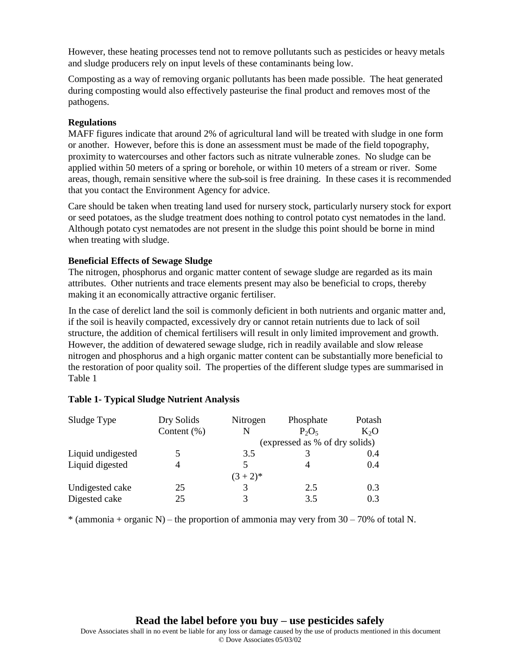However, these heating processes tend not to remove pollutants such as pesticides or heavy metals and sludge producers rely on input levels of these contaminants being low.

Composting as a way of removing organic pollutants has been made possible. The heat generated during composting would also effectively pasteurise the final product and removes most of the pathogens.

#### **Regulations**

MAFF figures indicate that around 2% of agricultural land will be treated with sludge in one form or another. However, before this is done an assessment must be made of the field topography, proximity to watercourses and other factors such as nitrate vulnerable zones. No sludge can be applied within 50 meters of a spring or borehole, or within 10 meters of a stream or river. Some areas, though, remain sensitive where the sub-soil is free draining. In these cases it is recommended that you contact the Environment Agency for advice.

Care should be taken when treating land used for nursery stock, particularly nursery stock for export or seed potatoes, as the sludge treatment does nothing to control potato cyst nematodes in the land. Although potato cyst nematodes are not present in the sludge this point should be borne in mind when treating with sludge.

#### **Beneficial Effects of Sewage Sludge**

The nitrogen, phosphorus and organic matter content of sewage sludge are regarded as its main attributes. Other nutrients and trace elements present may also be beneficial to crops, thereby making it an economically attractive organic fertiliser.

In the case of derelict land the soil is commonly deficient in both nutrients and organic matter and, if the soil is heavily compacted, excessively dry or cannot retain nutrients due to lack of soil structure, the addition of chemical fertilisers will result in only limited improvement and growth. However, the addition of dewatered sewage sludge, rich in readily available and slow release nitrogen and phosphorus and a high organic matter content can be substantially more beneficial to the restoration of poor quality soil. The properties of the different sludge types are summarised in Table 1

| Sludge Type       | Dry Solids      | Nitrogen | Phosphate                      | Potash |
|-------------------|-----------------|----------|--------------------------------|--------|
|                   | Content $(\% )$ | N        | $P_2O_5$                       | $K_2O$ |
|                   |                 |          | (expressed as % of dry solids) |        |
| Liquid undigested | 5               | 3.5      |                                | 0.4    |
| Liquid digested   | 4               | 5        |                                | 0.4    |
|                   |                 | $(3+2)*$ |                                |        |
| Undigested cake   | 25              |          | 2.5                            | 0.3    |
| Digested cake     | 25              |          | 3.5                            | 0.3    |

#### **Table 1- Typical Sludge Nutrient Analysis**

 $*$  (ammonia + organic N) – the proportion of ammonia may very from  $30 - 70\%$  of total N.

**Read the label before you buy – use pesticides safely**

Dove Associates shall in no event be liable for any loss or damage caused by the use of products mentioned in this document © Dove Associates 05/03/02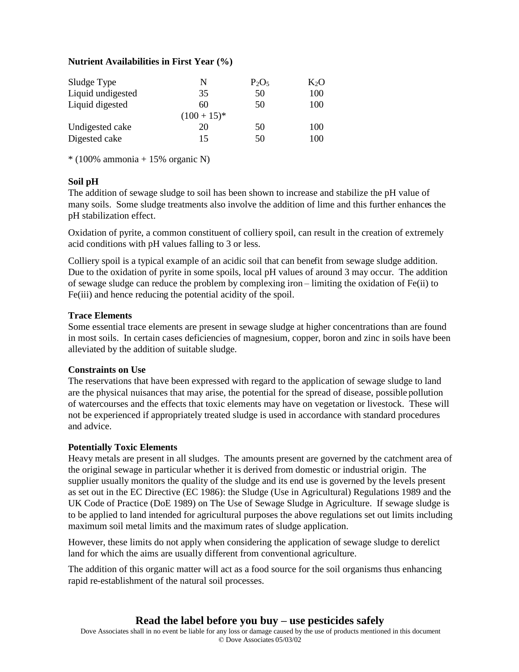#### **Nutrient Availabilities in First Year (%)**

| Sludge Type<br>Liquid undigested | N<br>35      | $P_2O_5$<br>50 | $K_2O$<br>100 |
|----------------------------------|--------------|----------------|---------------|
| Liquid digested                  | 60           | 50             | 100           |
|                                  | $(100+15)^*$ |                |               |
| Undigested cake                  | 20           | 50             | 100           |
| Digested cake                    | 15           | 50             | 100           |

 $*(100\%$  ammonia + 15% organic N)

#### **Soil pH**

The addition of sewage sludge to soil has been shown to increase and stabilize the pH value of many soils. Some sludge treatments also involve the addition of lime and this further enhances the pH stabilization effect.

Oxidation of pyrite, a common constituent of colliery spoil, can result in the creation of extremely acid conditions with pH values falling to 3 or less.

Colliery spoil is a typical example of an acidic soil that can benefit from sewage sludge addition. Due to the oxidation of pyrite in some spoils, local pH values of around 3 may occur. The addition of sewage sludge can reduce the problem by complexing iron – limiting the oxidation of Fe(ii) to Fe(iii) and hence reducing the potential acidity of the spoil.

#### **Trace Elements**

Some essential trace elements are present in sewage sludge at higher concentrations than are found in most soils. In certain cases deficiencies of magnesium, copper, boron and zinc in soils have been alleviated by the addition of suitable sludge.

#### **Constraints on Use**

The reservations that have been expressed with regard to the application of sewage sludge to land are the physical nuisances that may arise, the potential for the spread of disease, possible pollution of watercourses and the effects that toxic elements may have on vegetation or livestock. These will not be experienced if appropriately treated sludge is used in accordance with standard procedures and advice.

#### **Potentially Toxic Elements**

Heavy metals are present in all sludges. The amounts present are governed by the catchment area of the original sewage in particular whether it is derived from domestic or industrial origin. The supplier usually monitors the quality of the sludge and its end use is governed by the levels present as set out in the EC Directive (EC 1986): the Sludge (Use in Agricultural) Regulations 1989 and the UK Code of Practice (DoE 1989) on The Use of Sewage Sludge in Agriculture. If sewage sludge is to be applied to land intended for agricultural purposes the above regulations set out limits including maximum soil metal limits and the maximum rates of sludge application.

However, these limits do not apply when considering the application of sewage sludge to derelict land for which the aims are usually different from conventional agriculture.

The addition of this organic matter will act as a food source for the soil organisms thus enhancing rapid re-establishment of the natural soil processes.